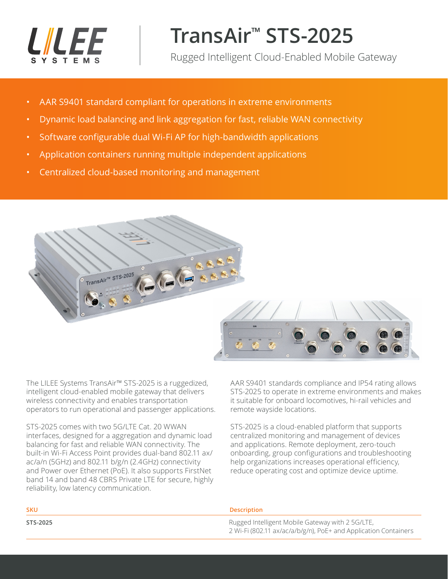

# **TransAir™ STS-2025**

Rugged Intelligent Cloud-Enabled Mobile Gateway

- AAR S9401 standard compliant for operations in extreme environments
- Dynamic load balancing and link aggregation for fast, reliable WAN connectivity
- Software configurable dual Wi-Fi AP for high-bandwidth applications
- Application containers running multiple independent applications
- Centralized cloud-based monitoring and management



The LILEE Systems TransAir™ STS-2025 is a ruggedized, intelligent cloud-enabled mobile gateway that delivers wireless connectivity and enables transportation operators to run operational and passenger applications.

STS-2025 comes with two 5G/LTE Cat. 20 WWAN interfaces, designed for a aggregation and dynamic load balancing for fast and reliable WAN connectivity. The built-in Wi-Fi Access Point provides dual-band 802.11 ax/ ac/a/n (5GHz) and 802.11 b/g/n (2.4GHz) connectivity and Power over Ethernet (PoE). It also supports FirstNet band 14 and band 48 CBRS Private LTE for secure, highly reliability, low latency communication.

AAR S9401 standards compliance and IP54 rating allows STS-2025 to operate in extreme environments and makes it suitable for onboard locomotives, hi-rail vehicles and remote wayside locations.

STS-2025 is a cloud-enabled platform that supports centralized monitoring and management of devices and applications. Remote deployment, zero-touch onboarding, group configurations and troubleshooting help organizations increases operational efficiency, reduce operating cost and optimize device uptime.

| <b>SKU</b> | <b>Description</b>                                                                                                  |
|------------|---------------------------------------------------------------------------------------------------------------------|
| STS-2025   | Rugged Intelligent Mobile Gateway with 2 5G/LTE,<br>2 Wi-Fi (802.11 ax/ac/a/b/g/n), PoE+ and Application Containers |